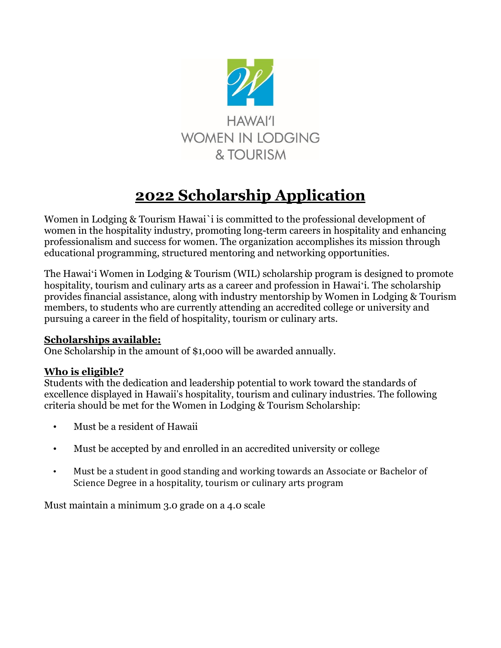

# **2022 Scholarship Application**

Women in Lodging & Tourism Hawai`i is committed to the professional development of women in the hospitality industry, promoting long-term careers in hospitality and enhancing professionalism and success for women. The organization accomplishes its mission through educational programming, structured mentoring and networking opportunities.

The Hawaiʻi Women in Lodging & Tourism (WIL) scholarship program is designed to promote hospitality, tourism and culinary arts as a career and profession in Hawaiʻi. The scholarship provides financial assistance, along with industry mentorship by Women in Lodging & Tourism members, to students who are currently attending an accredited college or university and pursuing a career in the field of hospitality, tourism or culinary arts.

### **Scholarships available:**

One Scholarship in the amount of \$1,000 will be awarded annually.

### **Who is eligible?**

Students with the dedication and leadership potential to work toward the standards of excellence displayed in Hawaii's hospitality, tourism and culinary industries. The following criteria should be met for the Women in Lodging & Tourism Scholarship:

- Must be a resident of Hawaii
- Must be accepted by and enrolled in an accredited university or college
- Must be a student in good standing and working towards an Associate or Bachelor of Science Degree in a hospitality, tourism or culinary arts program

Must maintain a minimum 3.0 grade on a 4.0 scale